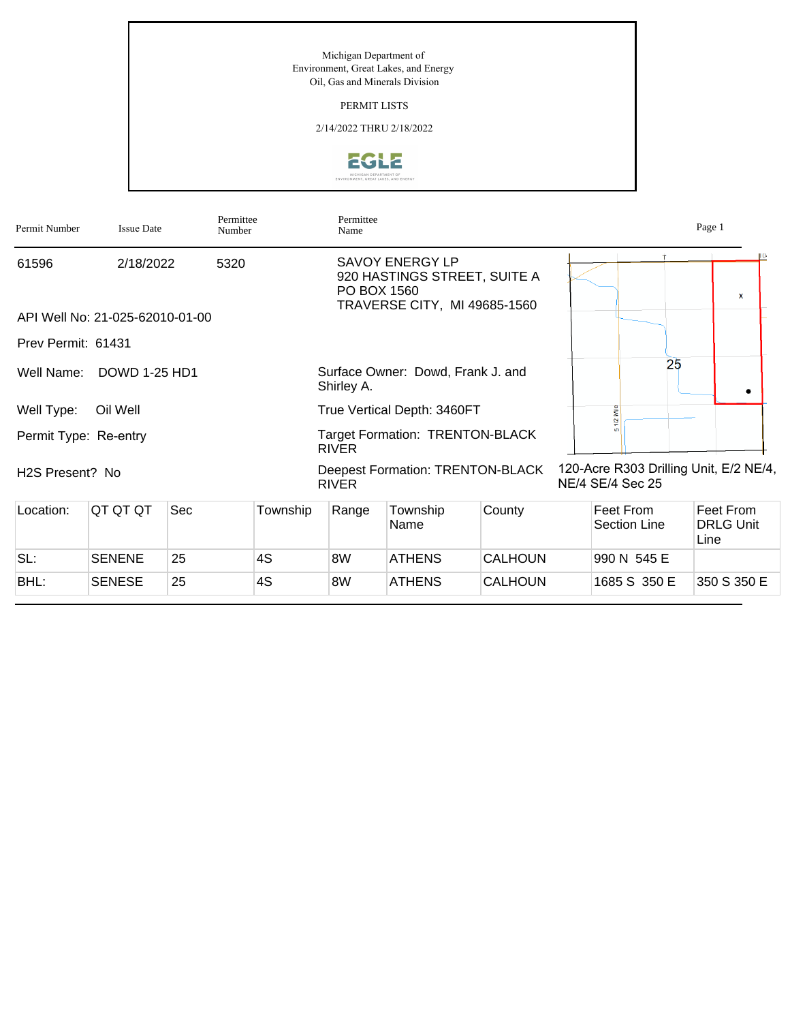PERMIT LISTS

2/14/2022 THRU 2/18/2022



| Permit Number                | <b>Issue Date</b>               | Permittee<br>Number |          | Permittee<br>Name                                      |                                                                                        |                |  |                                                            | Page 1                                |
|------------------------------|---------------------------------|---------------------|----------|--------------------------------------------------------|----------------------------------------------------------------------------------------|----------------|--|------------------------------------------------------------|---------------------------------------|
| 61596                        | 2/18/2022                       | 5320                |          | PO BOX 1560                                            | <b>SAVOY ENERGY LP</b><br>920 HASTINGS STREET, SUITE A<br>TRAVERSE CITY, MI 49685-1560 |                |  | т                                                          | <b>X</b>                              |
|                              | API Well No: 21-025-62010-01-00 |                     |          |                                                        |                                                                                        |                |  |                                                            |                                       |
| Prev Permit: 61431           |                                 |                     |          |                                                        |                                                                                        |                |  |                                                            |                                       |
| Well Name:                   | <b>DOWD 1-25 HD1</b>            |                     |          | Shirley A.                                             | Surface Owner: Dowd, Frank J. and                                                      |                |  | 25                                                         |                                       |
| Well Type:                   | Oil Well                        |                     |          | True Vertical Depth: 3460FT                            |                                                                                        |                |  |                                                            |                                       |
| Permit Type: Re-entry        |                                 |                     |          | <b>Target Formation: TRENTON-BLACK</b><br><b>RIVER</b> |                                                                                        |                |  |                                                            |                                       |
| H <sub>2</sub> S Present? No |                                 |                     |          | <b>RIVER</b>                                           | <b>Deepest Formation: TRENTON-BLACK</b>                                                |                |  | 120-Acre R303 Drilling Unit, E/2 NE/4,<br>NE/4 SE/4 Sec 25 |                                       |
| Location:                    | QT QT QT                        | Sec                 | Township | Range                                                  | Township<br>Name                                                                       | County         |  | Feet From<br><b>Section Line</b>                           | Feet From<br><b>DRLG Unit</b><br>Line |
| SL:                          | <b>SENENE</b>                   | 25                  | 4S       | 8W                                                     | <b>ATHENS</b>                                                                          | <b>CALHOUN</b> |  | 990 N 545 E                                                |                                       |
| BHL:                         | <b>SENESE</b>                   | 25                  | 4S       | 8W                                                     | <b>ATHENS</b>                                                                          | <b>CALHOUN</b> |  | 1685 S 350 E                                               | 350 S 350 E                           |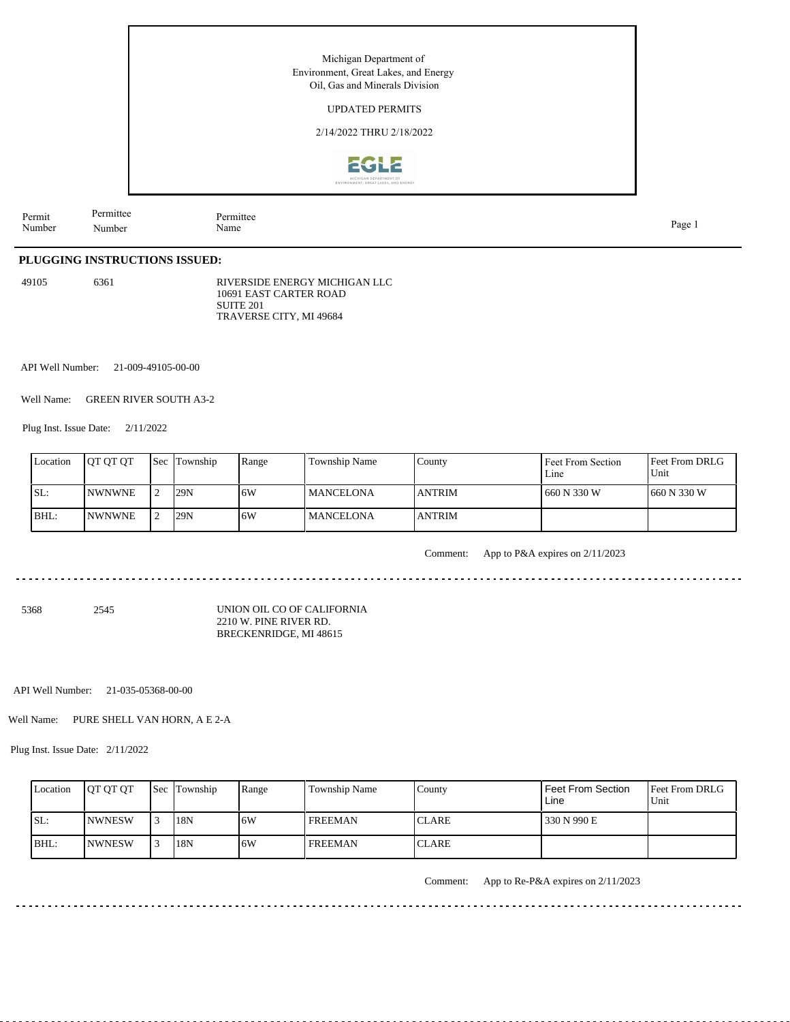UPDATED PERMITS

2/14/2022 THRU 2/18/2022



Permit Number Permittee Number

Permittee<br>Name

Name Page 1

# **PLUGGING INSTRUCTIONS ISSUED:**

49105 6361

RIVERSIDE ENERGY MICHIGAN LLC 10691 EAST CARTER ROAD SUITE 201 TRAVERSE CITY, MI 49684

API Well Number: 21-009-49105-00-00

Well Name: GREEN RIVER SOUTH A3-2

Plug Inst. Issue Date: 2/11/2022

| Location | <b>IOT OT OT</b> | <b>Sec</b> | Township | Range | Township Name     | County         | Feet From Section<br>Line | <b>Feet From DRLG</b><br>Unit |
|----------|------------------|------------|----------|-------|-------------------|----------------|---------------------------|-------------------------------|
| SL:      | <b>INWNWNE</b>   |            | 29N      | 16W   | l MANCELONA       | <b>LANTRIM</b> | 660 N 330 W               | 1660 N 330 W                  |
| BHL:     | <b>INWNWNE</b>   |            | 29N      | 6W    | <b>IMANCELONA</b> | <b>LANTRIM</b> |                           |                               |

Comment: App to P&A expires on 2/11/2023

5368 2545

UNION OIL CO OF CALIFORNIA 2210 W. PINE RIVER RD. BRECKENRIDGE, MI 48615

API Well Number: 21-035-05368-00-00

Well Name: PURE SHELL VAN HORN, A E 2-A

Plug Inst. Issue Date: 2/11/2022

| Location | <b>JOT OT OT</b> | <b>Sec Township</b> | Range | <b>Township Name</b> | County        | Feet From Section<br>Line | Feet From DRLG<br>Unit |
|----------|------------------|---------------------|-------|----------------------|---------------|---------------------------|------------------------|
| ISL:     | <b>INWNESW</b>   | 18N                 | 16W   | <b>FREEMAN</b>       | <b>ICLARE</b> | 330 N 990 E               |                        |
| BHL:     | <b>INWNESW</b>   | 18N                 | 16W   | <b>FREEMAN</b>       | <b>ICLARE</b> |                           |                        |

Comment: App to Re-P&A expires on 2/11/2023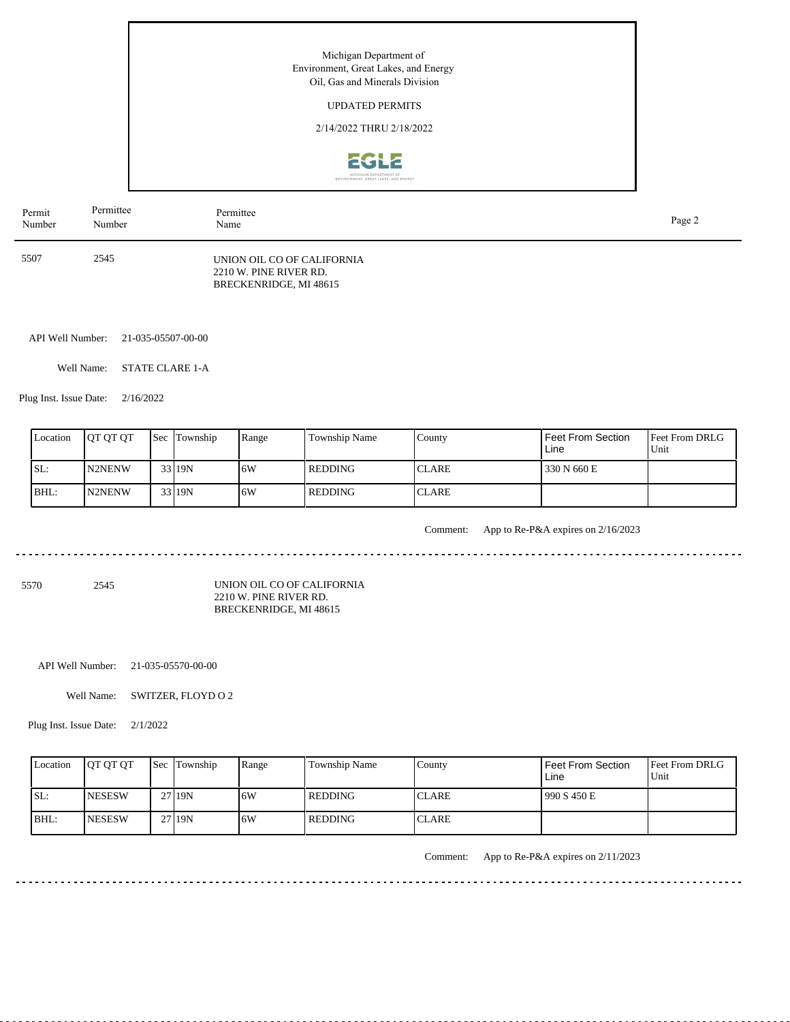## UPDATED PERMITS

2/14/2022 THRU 2/18/2022



| Permit | Permittee | Permittee                                                                      | Page 2 |
|--------|-----------|--------------------------------------------------------------------------------|--------|
| Number | Number    | Name                                                                           |        |
| 5507   | 2545      | UNION OIL CO OF CALIFORNIA<br>2210 W. PINE RIVER RD.<br>BRECKENRIDGE, MI 48615 |        |

API Well Number: 21-035-05507-00-00

Well Name: STATE CLARE 1-A

Plug Inst. Issue Date: 2/16/2022

| Location | <b>OT OT OT</b> | <b>Sec</b> | Township | Range | Township Name  | County       | <b>Feet From Section</b><br>Line | <b>Feet From DRLG</b><br>Unit |
|----------|-----------------|------------|----------|-------|----------------|--------------|----------------------------------|-------------------------------|
| SL:      | <b>N2NENW</b>   |            | 33 19N   | 16W   | <b>REDDING</b> | <b>CLARE</b> | 330 N 660 E                      |                               |
| BHL:     | <b>IN2NENW</b>  |            | 33 19N   | 16W   | <b>REDDING</b> | <b>CLARE</b> |                                  |                               |

. . . . . . . . . . . . . . . . . . . .

#### Comment: App to Re-P&A expires on 2/16/2023

5570 2545

UNION OIL CO OF CALIFORNIA 2210 W. PINE RIVER RD. BRECKENRIDGE, MI 48615

API Well Number: 21-035-05570-00-00

Well Name: SWITZER, FLOYD O 2

Plug Inst. Issue Date: 2/1/2022

| Location | <b>OT OT OT</b> | <b>Sec Township</b> | Range | Township Name | County       | l Feet From Section<br>Line | <b>Feet From DRLG</b><br>Unit |
|----------|-----------------|---------------------|-------|---------------|--------------|-----------------------------|-------------------------------|
| ISL:     | <b>INESESW</b>  | 27 19N              | .6W   | l REDDING     | <b>CLARE</b> | 990 S 450 E                 |                               |
| IBHL:    | <b>INESESW</b>  | 27 19N              | 6W    | l REDDING     | <b>CLARE</b> |                             |                               |

<u>. . . . . . . . . . . . . . . . . .</u>

Comment: App to Re-P&A expires on 2/11/2023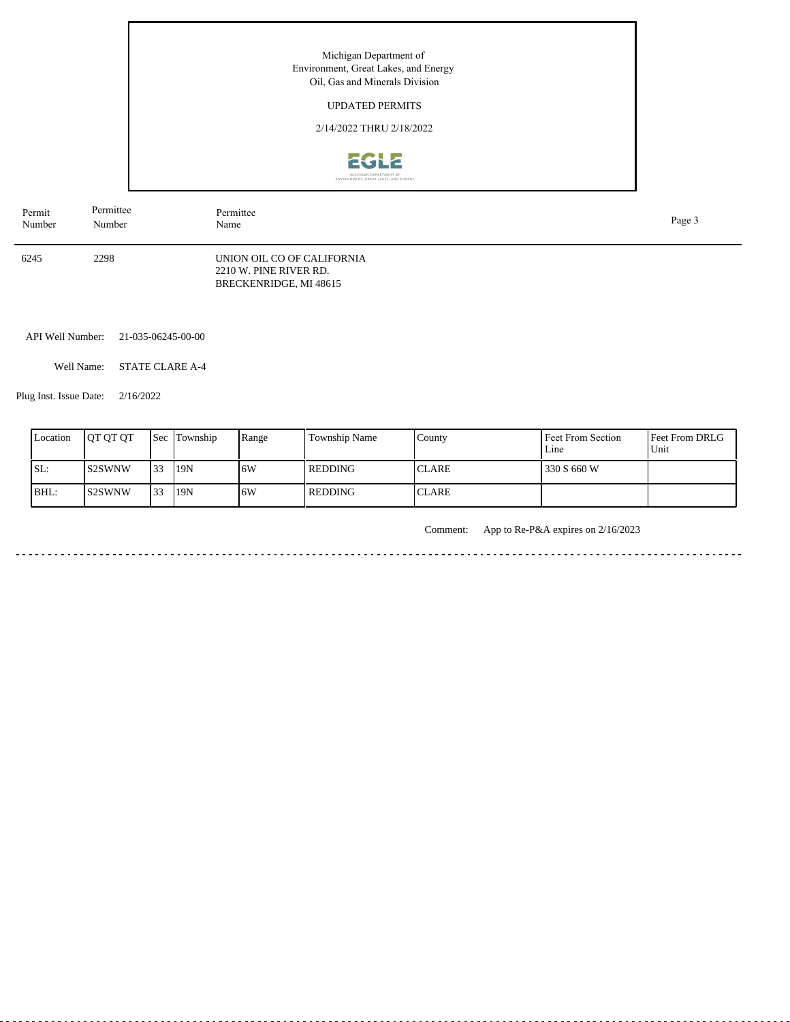Michigan Department of Environment, Great Lakes, and Energy Oil, Gas and Minerals Division UPDATED PERMITS 2/14/2022 THRU 2/18/2022 EGLE IGAN DEPARTMENT OF<br>IT, GREAT LAKES, AND ENERGY Permittee Permittee Name Page 3 Number

> UNION OIL CO OF CALIFORNIA 2210 W. PINE RIVER RD. BRECKENRIDGE, MI 48615

API Well Number: 21-035-06245-00-00

Well Name: STATE CLARE A-4

Plug Inst. Issue Date: 2/16/2022

6245 2298

Permit Number

| Location | <b>OT OT OT</b>     | <b>Sec</b> | Township | Range | Township Name  | County        | Feet From Section<br>Line | <b>Feet From DRLG</b><br>Unit |
|----------|---------------------|------------|----------|-------|----------------|---------------|---------------------------|-------------------------------|
| SL:      | <b>S2SWNW</b>       | 33         | 19N      | 16W   | <b>REDDING</b> | <b>ICLARE</b> | 330 S 660 W               |                               |
| BHL:     | S <sub>2</sub> SWNW | 33         | 19N      | .6W   | <b>REDDING</b> | <b>ICLARE</b> |                           |                               |

Comment: App to Re-P&A expires on 2/16/2023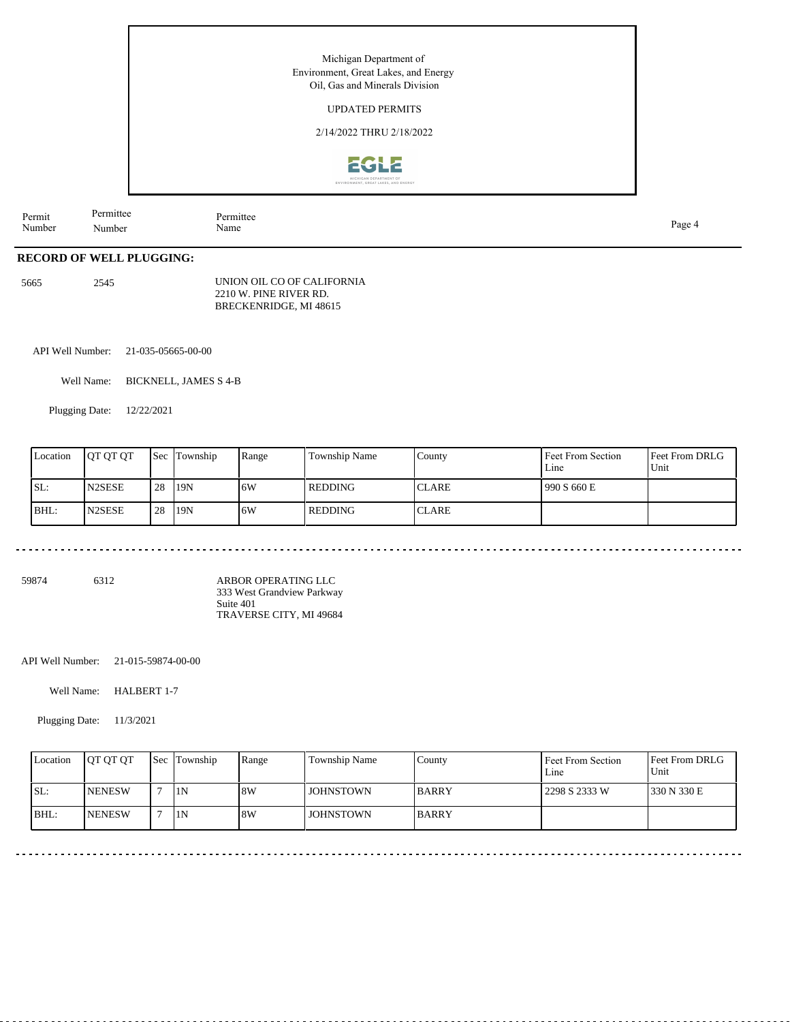UPDATED PERMITS

2/14/2022 THRU 2/18/2022



Permit Number Permittee Number Permittee<br>Name Name Page 4

# **RECORD OF WELL PLUGGING:**

5665 2545

UNION OIL CO OF CALIFORNIA 2210 W. PINE RIVER RD. BRECKENRIDGE, MI 48615

API Well Number: 21-035-05665-00-00

Well Name: BICKNELL, JAMES S 4-B

Plugging Date: 12/22/2021

| Location | <b>OT OT OT</b>     | <b>Sec</b> | Township | Range | Township Name  | County       | Feet From Section<br>Line | Feet From DRLG<br>Unit |
|----------|---------------------|------------|----------|-------|----------------|--------------|---------------------------|------------------------|
| SL:      | N <sub>2</sub> SESE | 28         | 19N      | 16W   | <b>REDDING</b> | <b>CLARE</b> | 990 S 660 E               |                        |
| BHL:     | N <sub>2</sub> SESE | 28         | 119N     | 16W   | <b>REDDING</b> | <b>CLARE</b> |                           |                        |

<u>. . . . . . . . . . . . . . .</u>

<u>. . . . . . . . . . . . . .</u>

59874 6312

ARBOR OPERATING LLC 333 West Grandview Parkway Suite 401 TRAVERSE CITY, MI 49684

API Well Number: 21-015-59874-00-00

Well Name: HALBERT 1-7

Plugging Date: 11/3/2021

| Location | <b>IOT OT OT</b> | <b>Sec Township</b> | Range | Township Name    | County       | Feet From Section<br>Line | Feet From DRLG<br>Unit |
|----------|------------------|---------------------|-------|------------------|--------------|---------------------------|------------------------|
| ISL:     | <b>INENESW</b>   | 1N                  | 8W    | <b>JOHNSTOWN</b> | <b>BARRY</b> | 2298 S 2333 W             | 330 N 330 E            |
| BHL:     | <b>INENESW</b>   | 1N                  | 8W    | <b>JOHNSTOWN</b> | <b>BARRY</b> |                           |                        |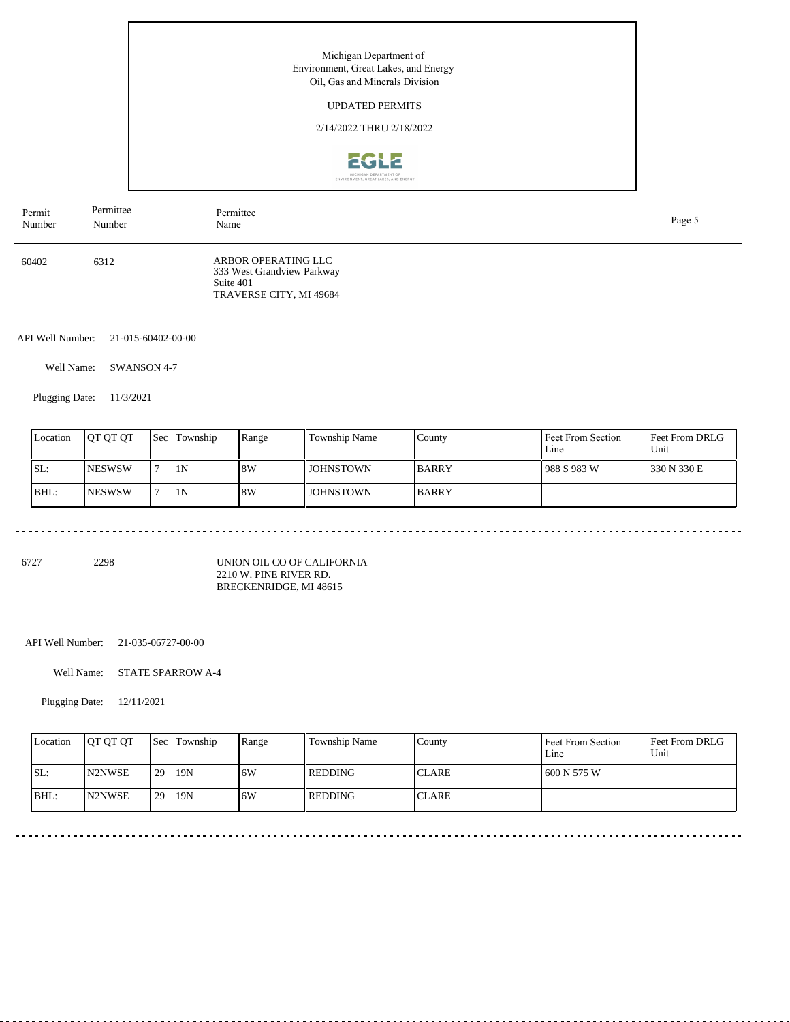## UPDATED PERMITS

2/14/2022 THRU 2/18/2022



| Permit | Permittee | Permittee                                                                                 | Page 5 |
|--------|-----------|-------------------------------------------------------------------------------------------|--------|
| Number | Number    | Name                                                                                      |        |
| 60402  | 6312      | ARBOR OPERATING LLC<br>333 West Grandview Parkway<br>Suite 401<br>TRAVERSE CITY, MI 49684 |        |

API Well Number: 21-015-60402-00-00

Well Name: SWANSON 4-7

Plugging Date: 11/3/2021

| Location | <b>IOT OT OT</b> | <b>Sec Township</b> | Range | Township Name    | Countv       | <b>Feet From Section</b><br>Line | <b>Feet From DRLG</b><br>Unit |
|----------|------------------|---------------------|-------|------------------|--------------|----------------------------------|-------------------------------|
| ISL:     | <b>INESWSW</b>   | 1N                  | 8W    | <b>JOHNSTOWN</b> | <b>BARRY</b> | 1988 S 983 W                     | 1330 N 330 E                  |
| BHL:     | <b>INESWSW</b>   | 1N                  | 8W    | JOHNSTOWN        | <b>BARRY</b> |                                  |                               |

6727 2298

UNION OIL CO OF CALIFORNIA 2210 W. PINE RIVER RD. BRECKENRIDGE, MI 48615

API Well Number: 21-035-06727-00-00

Well Name: STATE SPARROW A-4

Plugging Date: 12/11/2021

| Location | <b>OT OT OT</b>     |    | <b>Sec Township</b> | Range | <b>Township Name</b> | County       | Feet From Section<br>Line | Feet From DRLG<br>Unit |
|----------|---------------------|----|---------------------|-------|----------------------|--------------|---------------------------|------------------------|
| SL:      | N2NWSE              | 29 | 19N                 | 16W   | <b>REDDING</b>       | <b>CLARE</b> | 600 N 575 W               |                        |
| BHL:     | N <sub>2</sub> NWSE | 29 | 19N                 | 16W   | REDDING              | <b>CLARE</b> |                           |                        |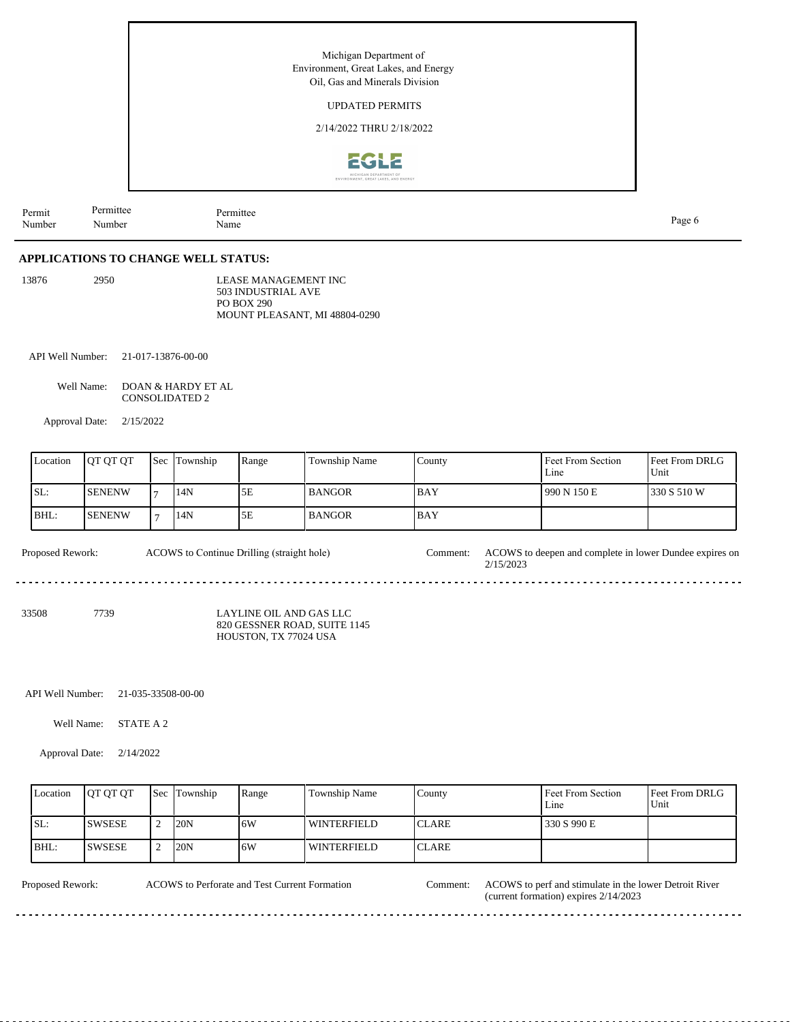Michigan Department of Environment, Great Lakes, and Energy Oil, Gas and Minerals Division UPDATED PERMITS 2/14/2022 THRU 2/18/2022 2GLZ Permittee Permittee

Name Page 6

**APPLICATIONS TO CHANGE WELL STATUS:**

| 13876 | 2950 | LEASE MANAGEMENT INC          |
|-------|------|-------------------------------|
|       |      | 503 INDUSTRIAL AVE            |
|       |      | PO BOX 290                    |
|       |      | MOUNT PLEASANT, MI 48804-0290 |

API Well Number: 21-017-13876-00-00

Number

Well Name: DOAN & HARDY ET AL CONSOLIDATED 2

Approval Date: 2/15/2022

| Location | <b>IOT OT OT</b> | <b>Sec</b> | Township | Range | Township Name | County     | Feet From Section<br>Line | <b>Feet From DRLG</b><br>Unit |
|----------|------------------|------------|----------|-------|---------------|------------|---------------------------|-------------------------------|
| ISL:     | <b>SENENW</b>    |            | 14N      | 5Ε    | l BANGOR      | 1 BAY      | 1990 N 150 E              | 1330 S 510 W                  |
| BHL:     | <b>ISENENW</b>   |            | 14N      | 5E    | <b>BANGOR</b> | <b>BAY</b> |                           |                               |

ACOWS to Continue Drilling (straight hole)

Proposed Rework: ACOWS to Continue Drilling (straight hole) Comment: ACOWS to deepen and complete in lower Dundee expires on 2/15/2023

33508 7739

Permit Number

> LAYLINE OIL AND GAS LLC 820 GESSNER ROAD, SUITE 1145 HOUSTON, TX 77024 USA

API Well Number: 21-035-33508-00-00

Well Name: STATE A 2

Approval Date: 2/14/2022

| Location | <b>IOT OT OT</b> | <b>Sec Township</b> | Range | Township Name | County        | Feet From Section<br>Line | <b>Feet From DRLG</b><br>l Unit |
|----------|------------------|---------------------|-------|---------------|---------------|---------------------------|---------------------------------|
| SL:      | <b>SWSESE</b>    | 20N                 | 16W   | l winterfield | <b>ICLARE</b> | 330 S 990 E               |                                 |
| BHL:     | <b>SWSESE</b>    | 20N                 | 16W   | l winterfield | <b>ICLARE</b> |                           |                                 |

ACOWS to Perforate and Test Current Formation

Proposed Rework: ACOWS to Perforate and Test Current Formation Comment: ACOWS to perf and stimulate in the lower Detroit River (current formation) expires 2/14/2023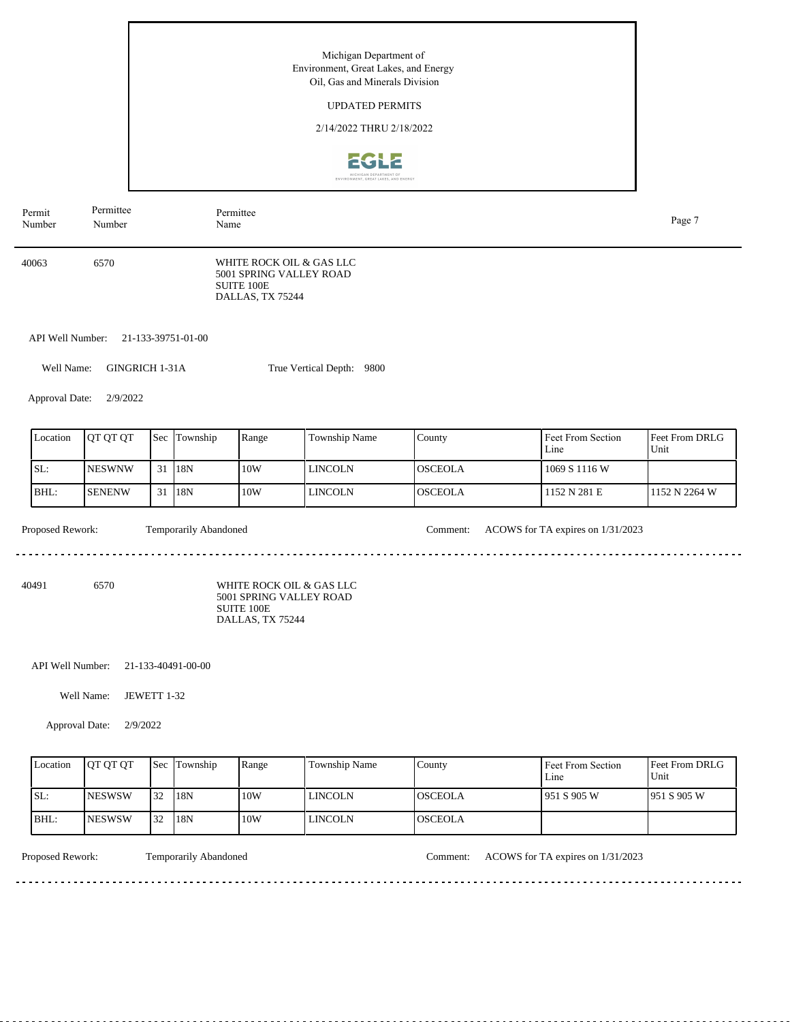Michigan Department of Environment, Great Lakes, and Energy Oil, Gas and Minerals Division UPDATED PERMITS 2/14/2022 THRU 2/18/2022 2612 Permit Permittee Permittee Name Page 7 Number Number WHITE ROCK OIL & GAS LLC 40063 6570 5001 SPRING VALLEY ROAD SUITE 100E DALLAS, TX 75244 API Well Number: 21-133-39751-01-00 Well Name: GINGRICH 1-31A True Vertical Depth: 9800 Approval Date: 2/9/2022 Feet From DRLG Feet From Section Location | QT QT QT | Sec | Township | Range | Township Name Sec Township County Line Unit SL: NESWNW 10W LINCOLN OSCEOLA 1069 S 1116 W 31 18N BHL: SENENW 31 18N 10W LINCOLN OSCEOLA 1152 N 281 E 1152 N 2264 W Proposed Rework: Temporarily Abandoned Comment: ACOWS for TA expires on 1/31/2023 Temporarily Abandoned . . . . . . . . . . . . 40491 6570 WHITE ROCK OIL & GAS LLC 5001 SPRING VALLEY ROAD SUITE 100E DALLAS, TX 75244 API Well Number: 21-133-40491-00-00 Well Name: JEWETT 1-32 Approval Date: 2/9/2022

| Location | <b>IOT OT OT</b> | <b>Sec</b> | Township | Range | Township Name | County         | Feet From Section<br>Line | <b>Feet From DRLG</b><br>Unit |
|----------|------------------|------------|----------|-------|---------------|----------------|---------------------------|-------------------------------|
| SL:      | <b>INESWSW</b>   | 32         | 18N      | 10W   | l lincoln     | IOSCEOLA       | 951 S 905 W               | 1951 S 905 W                  |
| BHL:     | <b>INESWSW</b>   | 32         | 18N      | 10W   | LINCOLN       | <b>OSCEOLA</b> |                           |                               |

<u>. . . . . . . . . . . . . . . .</u>

Proposed Rework: Temporarily Abandoned Comment: ACOWS for TA expires on 1/31/2023

<u>. . . . . . . . . . . . . . . . .</u>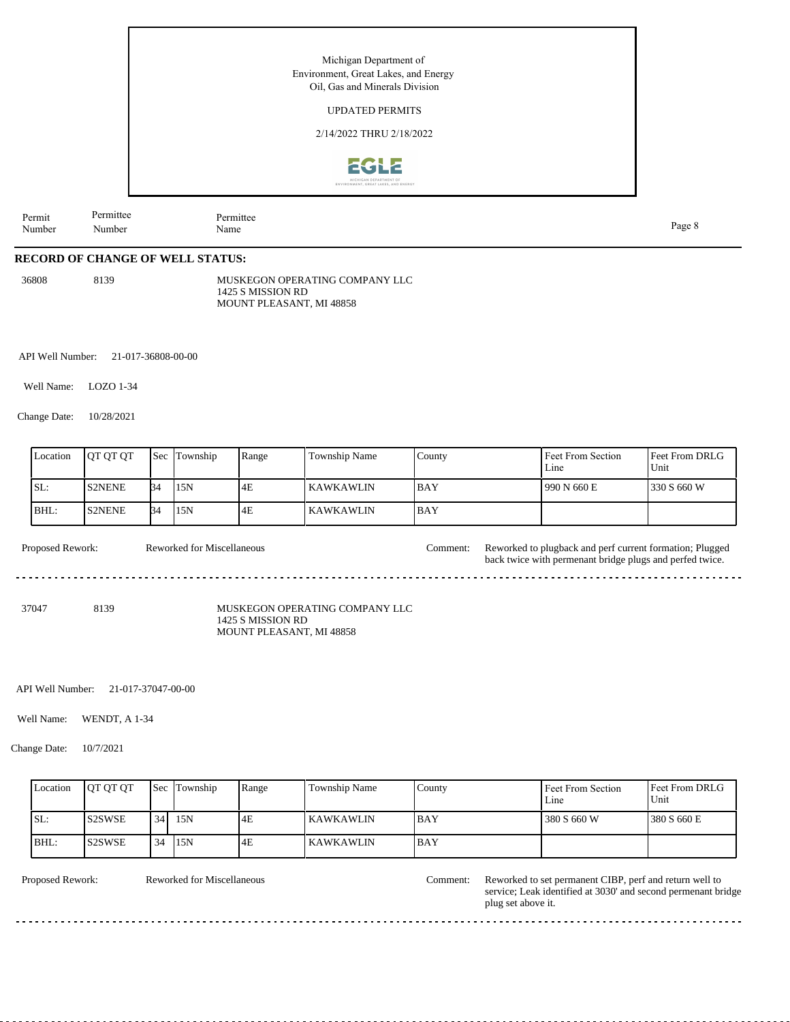|                  |                     |                   | Michigan Department of<br>Environment, Great Lakes, and Energy<br>Oil, Gas and Minerals Division<br><b>UPDATED PERMITS</b> |        |
|------------------|---------------------|-------------------|----------------------------------------------------------------------------------------------------------------------------|--------|
|                  |                     |                   | 2/14/2022 THRU 2/18/2022<br><b>ZGLE</b><br>MICHIGAN DEPARTMENT OF<br>ENVIRONMENT, GREAT LAKES, AND ENERGY                  |        |
| Permit<br>Number | Permittee<br>Number | Permittee<br>Name |                                                                                                                            | Page 8 |

#### **RECORD OF CHANGE OF WELL STATUS:**

36808 8139

MUSKEGON OPERATING COMPANY LLC 1425 S MISSION RD MOUNT PLEASANT, MI 48858

API Well Number: 21-017-36808-00-00

Well Name: LOZO 1-34

Change Date: 10/28/2021

| Location | <b>IOT OT OT</b> | Sec       | Township | Range | Township Name | County     | Feet From Section<br>Line | <b>Feet From DRLG</b><br>Unit |
|----------|------------------|-----------|----------|-------|---------------|------------|---------------------------|-------------------------------|
| SL:      | <b>S2NENE</b>    | <b>B4</b> | 15N      | 4E    | l KAWKAWLIN   | <b>BAY</b> | 990 N 660 E               | 1330 S 660 W                  |
| BHL:     | <b>IS2NENE</b>   | <b>B4</b> | 15N      | 4E    | l KAWKAWLIN   | <b>BAY</b> |                           |                               |

Proposed Rework: Reworked for Miscellaneous Comment: Reworked to plugback and perf current formation; Plugged Reworked for Miscellaneous

37047 8139

MUSKEGON OPERATING COMPANY LLC 1425 S MISSION RD MOUNT PLEASANT, MI 48858

API Well Number: 21-017-37047-00-00

Well Name: WENDT, A 1-34

Change Date: 10/7/2021

| Location | <b>OT OT OT</b>                 | <b>Sec</b> | Township | Range | Township Name | County      | Feet From Section<br>Line | Feet From DRLG<br>Unit |
|----------|---------------------------------|------------|----------|-------|---------------|-------------|---------------------------|------------------------|
| SL:      | S <sub>2</sub> SW <sub>SE</sub> | 34         | 15N      | 4E    | I KAWKAWLIN   | <b>IBAY</b> | 380 S 660 W               | 380 S 660 E            |
| BHL:     | <b>S2SWSE</b>                   | 34         | 15N      | 4E    | l KAWKAWLIN   | <b>BAY</b>  |                           |                        |

. . . . . . . .

. . . . . . . . . . . . . . . . .

Reworked for Miscellaneous

<u>. . . . . . . . . . . .</u>

Proposed Rework: Reworked for Miscellaneous Comment: Reworked to set permanent CIBP, perf and return well to service; Leak identified at 3030' and second permenant bridge plug set above it.

back twice with permenant bridge plugs and perfed twice.